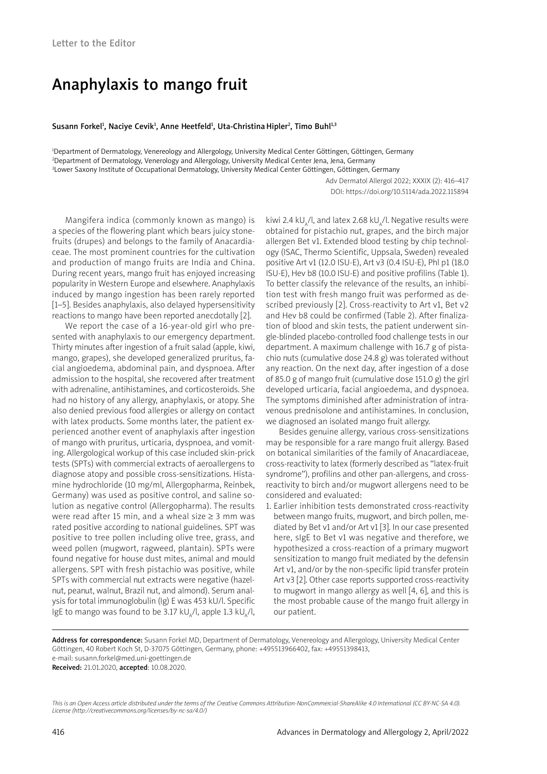## Anaphylaxis to mango fruit

Susann Forkel<sup>ı</sup>, Naciye Cevik<sup>ı</sup>, Anne Heetfeld<sup>ı</sup>, Uta-Christina Hipler<sup>2</sup>, Timo Buhl<sup>ı,3</sup>

1 Department of Dermatology, Venereology and Allergology, University Medical Center Göttingen, Göttingen, Germany 2 Department of Dermatology, Venerology and Allergology, University Medical Center Jena, Jena, Germany 3 Lower Saxony Institute of Occupational Dermatology, University Medical Center Göttingen, Göttingen, Germany

> Adv Dermatol Allergol 2022; XXXIX (2): 416–417 DOI: https://doi.org/10.5114/ada.2022.115894

Mangifera indica (commonly known as mango) is a species of the flowering plant which bears juicy stonefruits (drupes) and belongs to the family of Anacardiaceae. The most prominent countries for the cultivation and production of mango fruits are India and China. During recent years, mango fruit has enjoyed increasing popularity in Western Europe and elsewhere. Anaphylaxis induced by mango ingestion has been rarely reported [1–5]. Besides anaphylaxis, also delayed hypersensitivity reactions to mango have been reported anecdotally [2].

We report the case of a 16-year-old girl who presented with anaphylaxis to our emergency department. Thirty minutes after ingestion of a fruit salad (apple, kiwi, mango, grapes), she developed generalized pruritus, facial angioedema, abdominal pain, and dyspnoea. After admission to the hospital, she recovered after treatment with adrenaline, antihistamines, and corticosteroids. She had no history of any allergy, anaphylaxis, or atopy. She also denied previous food allergies or allergy on contact with latex products. Some months later, the patient experienced another event of anaphylaxis after ingestion of mango with pruritus, urticaria, dyspnoea, and vomiting. Allergological workup of this case included skin-prick tests (SPTs) with commercial extracts of aeroallergens to diagnose atopy and possible cross-sensitizations. Histamine hydrochloride (10 mg/ml, Allergopharma, Reinbek, Germany) was used as positive control, and saline solution as negative control (Allergopharma). The results were read after 15 min, and a wheal size  $\geq$  3 mm was rated positive according to national guidelines. SPT was positive to tree pollen including olive tree, grass, and weed pollen (mugwort, ragweed, plantain). SPTs were found negative for house dust mites, animal and mould allergens. SPT with fresh pistachio was positive, while SPTs with commercial nut extracts were negative (hazelnut, peanut, walnut, Brazil nut, and almond). Serum analysis for total immunoglobulin (Ig) E was 453 kU/l. Specific IgE to mango was found to be 3.17 kU<sub>a</sub>/l, apple 1.3 kU<sub>a</sub>/l,

kiwi 2.4 kU $\mu$ , and latex 2.68 kU $\mu$ , l. Negative results were obtained for pistachio nut, grapes, and the birch major allergen Bet v1. Extended blood testing by chip technology (ISAC, Thermo Scientific, Uppsala, Sweden) revealed positive Art v1 (12.0 ISU-E), Art v3 (0.4 ISU-E), Phl p1 (18.0 ISU-E), Hev b8 (10.0 ISU-E) and positive profilins (Table 1). To better classify the relevance of the results, an inhibition test with fresh mango fruit was performed as described previously [2]. Cross-reactivity to Art v1, Bet v2 and Hev b8 could be confirmed (Table 2). After finalization of blood and skin tests, the patient underwent single-blinded placebo-controlled food challenge tests in our department. A maximum challenge with 16.7 g of pistachio nuts (cumulative dose 24.8 g) was tolerated without any reaction. On the next day, after ingestion of a dose of 85.0 g of mango fruit (cumulative dose 151.0 g) the girl developed urticaria, facial angioedema, and dyspnoea. The symptoms diminished after administration of intravenous prednisolone and antihistamines. In conclusion, we diagnosed an isolated mango fruit allergy.

Besides genuine allergy, various cross-sensitizations may be responsible for a rare mango fruit allergy. Based on botanical similarities of the family of Anacardiaceae, cross-reactivity to latex (formerly described as "latex-fruit syndrome"), profilins and other pan-allergens, and crossreactivity to birch and/or mugwort allergens need to be considered and evaluated:

1. Earlier inhibition tests demonstrated cross-reactivity between mango fruits, mugwort, and birch pollen, mediated by Bet v1 and/or Art v1 [3]. In our case presented here, sIgE to Bet v1 was negative and therefore, we hypothesized a cross-reaction of a primary mugwort sensitization to mango fruit mediated by the defensin Art v1, and/or by the non-specific lipid transfer protein Art v3 [2]. Other case reports supported cross-reactivity to mugwort in mango allergy as well [4, 6], and this is the most probable cause of the mango fruit allergy in our patient.

Address for correspondence: Susann Forkel MD, Department of Dermatology, Venereology and Allergology, University Medical Center Göttingen, 40 Robert Koch St, D-37075 Göttingen, Germany, phone: +495513966402, fax: +49551398413, e-mail: susann.forkel@med.uni-goettingen.de Received: 21.01.2020, accepted: 10.08.2020.

*This is an Open Access article distributed under the terms of the Creative Commons Attribution-NonCommercial-ShareAlike 4.0 International (CC BY-NC-SA 4.0). License (http://creativecommons.org/licenses/by-nc-sa/4.0/)*